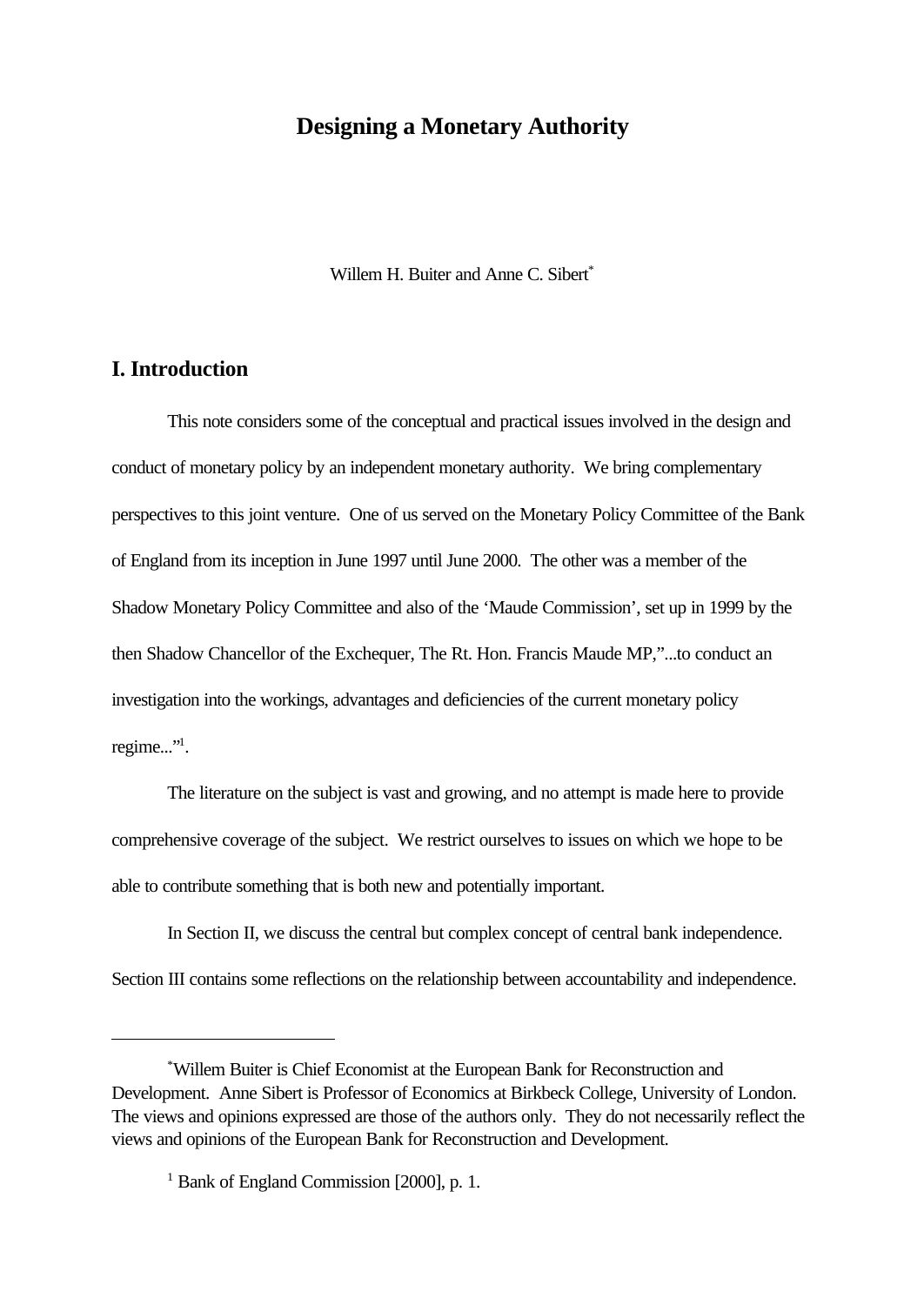# **Designing a Monetary Authority**

Willem H. Buiter and Anne C. Sibert\*

# **I. Introduction**

This note considers some of the conceptual and practical issues involved in the design and conduct of monetary policy by an independent monetary authority. We bring complementary perspectives to this joint venture. One of us served on the Monetary Policy Committee of the Bank of England from its inception in June 1997 until June 2000. The other was a member of the Shadow Monetary Policy Committee and also of the 'Maude Commission', set up in 1999 by the then Shadow Chancellor of the Exchequer, The Rt. Hon. Francis Maude MP,"...to conduct an investigation into the workings, advantages and deficiencies of the current monetary policy regime..."<sup>1</sup>.

The literature on the subject is vast and growing, and no attempt is made here to provide comprehensive coverage of the subject. We restrict ourselves to issues on which we hope to be able to contribute something that is both new and potentially important.

In Section II, we discuss the central but complex concept of central bank independence. Section III contains some reflections on the relationship between accountability and independence.

<sup>\*</sup>Willem Buiter is Chief Economist at the European Bank for Reconstruction and Development. Anne Sibert is Professor of Economics at Birkbeck College, University of London. The views and opinions expressed are those of the authors only. They do not necessarily reflect the views and opinions of the European Bank for Reconstruction and Development.

<sup>&</sup>lt;sup>1</sup> Bank of England Commission [2000], p. 1.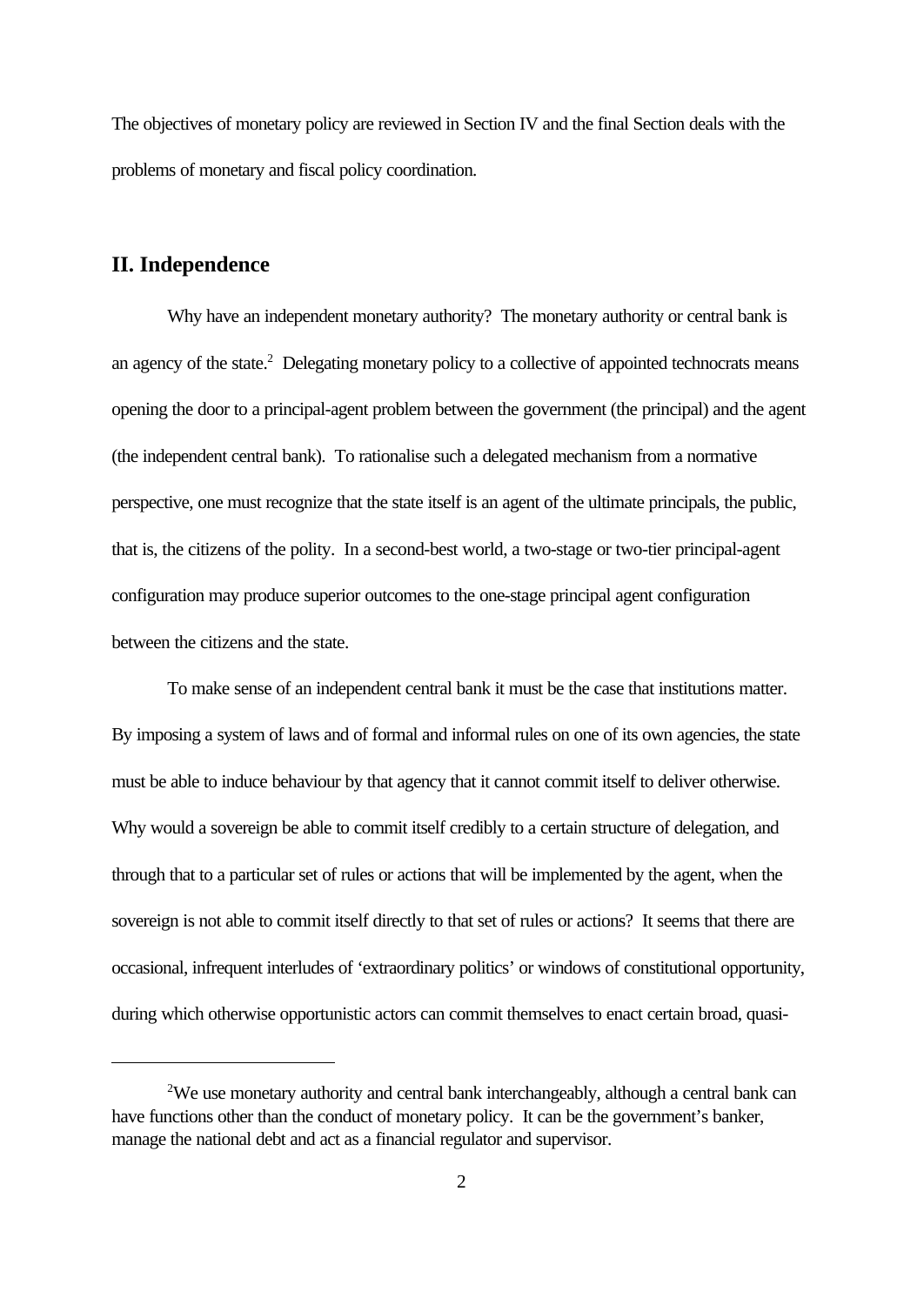The objectives of monetary policy are reviewed in Section IV and the final Section deals with the problems of monetary and fiscal policy coordination.

## **II. Independence**

Why have an independent monetary authority? The monetary authority or central bank is an agency of the state.<sup>2</sup> Delegating monetary policy to a collective of appointed technocrats means opening the door to a principal-agent problem between the government (the principal) and the agent (the independent central bank). To rationalise such a delegated mechanism from a normative perspective, one must recognize that the state itself is an agent of the ultimate principals, the public, that is, the citizens of the polity. In a second-best world, a two-stage or two-tier principal-agent configuration may produce superior outcomes to the one-stage principal agent configuration between the citizens and the state.

To make sense of an independent central bank it must be the case that institutions matter. By imposing a system of laws and of formal and informal rules on one of its own agencies, the state must be able to induce behaviour by that agency that it cannot commit itself to deliver otherwise. Why would a sovereign be able to commit itself credibly to a certain structure of delegation, and through that to a particular set of rules or actions that will be implemented by the agent, when the sovereign is not able to commit itself directly to that set of rules or actions? It seems that there are occasional, infrequent interludes of 'extraordinary politics' or windows of constitutional opportunity, during which otherwise opportunistic actors can commit themselves to enact certain broad, quasi-

<sup>&</sup>lt;sup>2</sup>We use monetary authority and central bank interchangeably, although a central bank can have functions other than the conduct of monetary policy. It can be the government's banker, manage the national debt and act as a financial regulator and supervisor.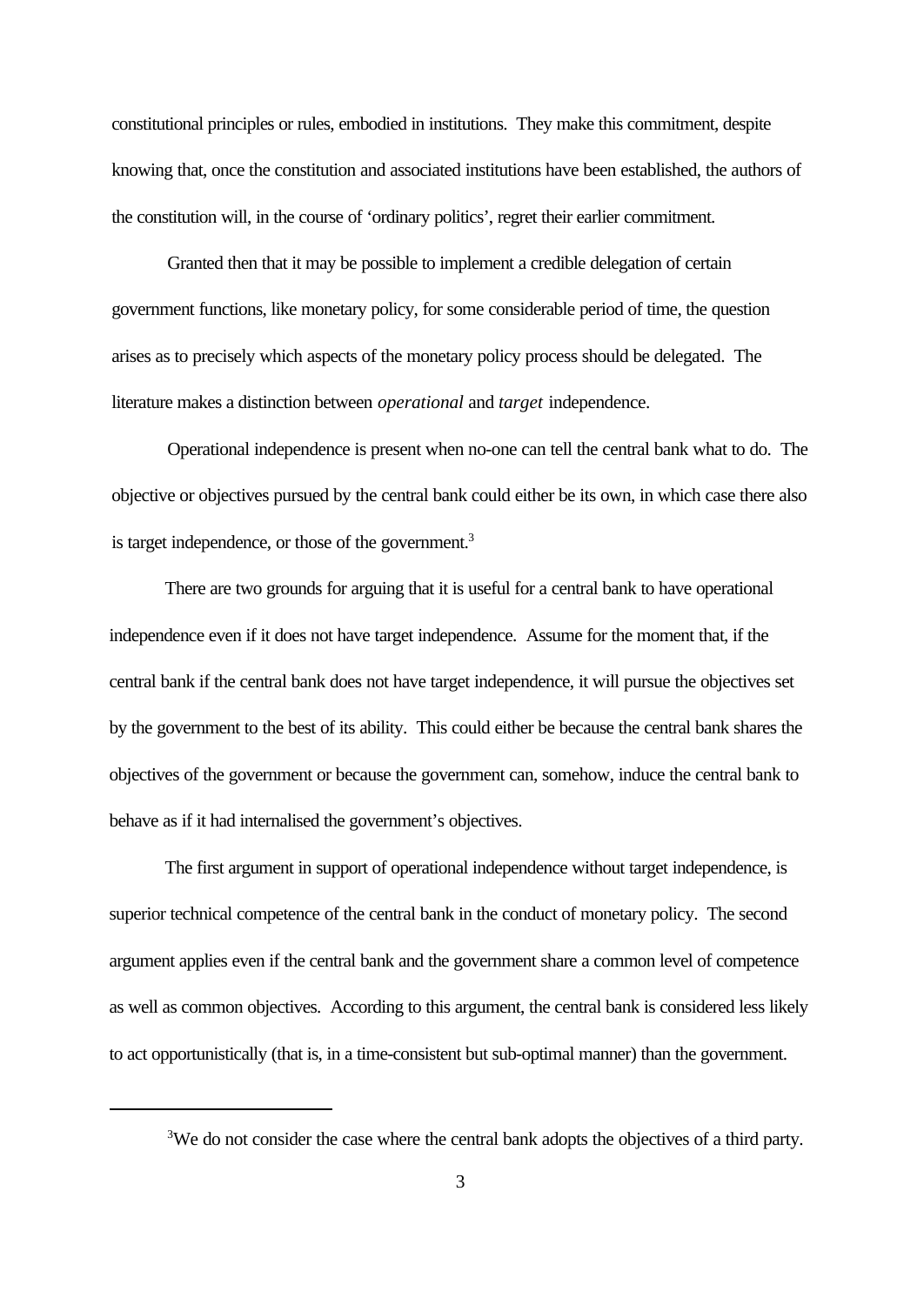constitutional principles or rules, embodied in institutions. They make this commitment, despite knowing that, once the constitution and associated institutions have been established, the authors of the constitution will, in the course of 'ordinary politics', regret their earlier commitment.

Granted then that it may be possible to implement a credible delegation of certain government functions, like monetary policy, for some considerable period of time, the question arises as to precisely which aspects of the monetary policy process should be delegated. The literature makes a distinction between *operational* and *target* independence.

Operational independence is present when no-one can tell the central bank what to do. The objective or objectives pursued by the central bank could either be its own, in which case there also is target independence, or those of the government.<sup>3</sup>

There are two grounds for arguing that it is useful for a central bank to have operational independence even if it does not have target independence. Assume for the moment that, if the central bank if the central bank does not have target independence, it will pursue the objectives set by the government to the best of its ability. This could either be because the central bank shares the objectives of the government or because the government can, somehow, induce the central bank to behave as if it had internalised the government's objectives.

The first argument in support of operational independence without target independence, is superior technical competence of the central bank in the conduct of monetary policy. The second argument applies even if the central bank and the government share a common level of competence as well as common objectives. According to this argument, the central bank is considered less likely to act opportunistically (that is, in a time-consistent but sub-optimal manner) than the government.

<sup>&</sup>lt;sup>3</sup>We do not consider the case where the central bank adopts the objectives of a third party.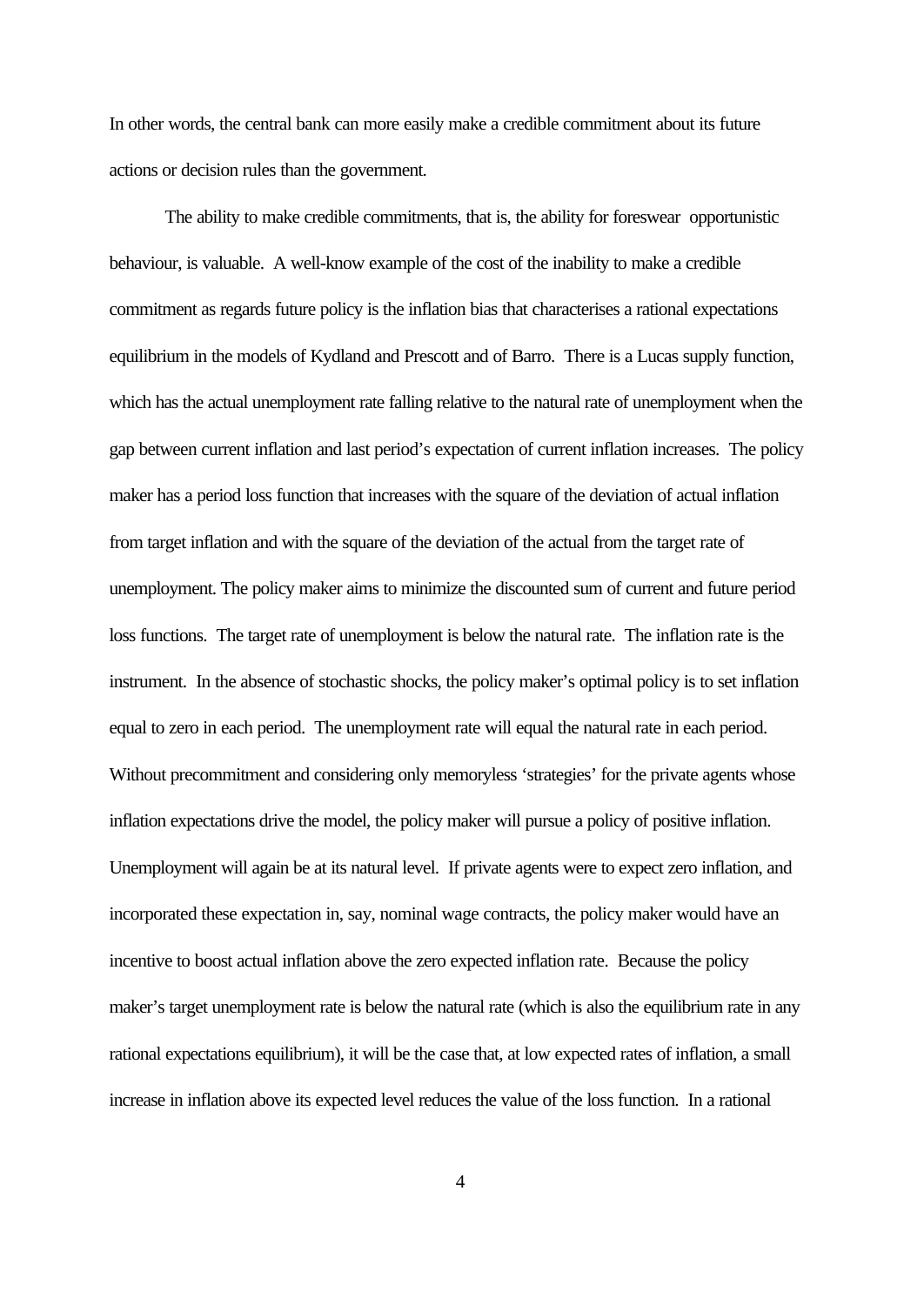In other words, the central bank can more easily make a credible commitment about its future actions or decision rules than the government.

The ability to make credible commitments, that is, the ability for foreswear opportunistic behaviour, is valuable. A well-know example of the cost of the inability to make a credible commitment as regards future policy is the inflation bias that characterises a rational expectations equilibrium in the models of Kydland and Prescott and of Barro. There is a Lucas supply function, which has the actual unemployment rate falling relative to the natural rate of unemployment when the gap between current inflation and last period's expectation of current inflation increases. The policy maker has a period loss function that increases with the square of the deviation of actual inflation from target inflation and with the square of the deviation of the actual from the target rate of unemployment. The policy maker aims to minimize the discounted sum of current and future period loss functions. The target rate of unemployment is below the natural rate. The inflation rate is the instrument. In the absence of stochastic shocks, the policy maker's optimal policy is to set inflation equal to zero in each period. The unemployment rate will equal the natural rate in each period. Without precommitment and considering only memoryless 'strategies' for the private agents whose inflation expectations drive the model, the policy maker will pursue a policy of positive inflation. Unemployment will again be at its natural level. If private agents were to expect zero inflation, and incorporated these expectation in, say, nominal wage contracts, the policy maker would have an incentive to boost actual inflation above the zero expected inflation rate. Because the policy maker's target unemployment rate is below the natural rate (which is also the equilibrium rate in any rational expectations equilibrium), it will be the case that, at low expected rates of inflation, a small increase in inflation above its expected level reduces the value of the loss function. In a rational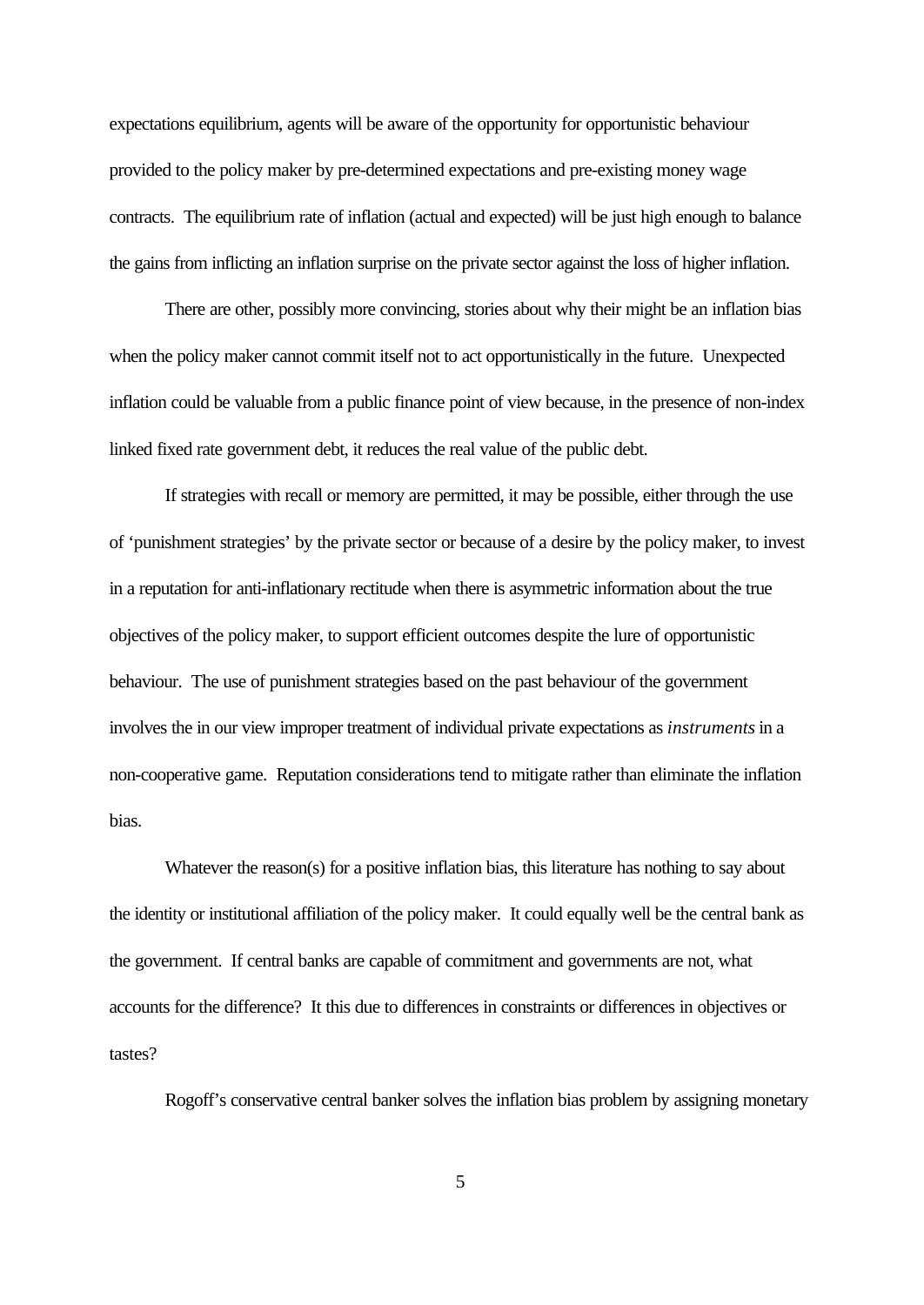expectations equilibrium, agents will be aware of the opportunity for opportunistic behaviour provided to the policy maker by pre-determined expectations and pre-existing money wage contracts. The equilibrium rate of inflation (actual and expected) will be just high enough to balance the gains from inflicting an inflation surprise on the private sector against the loss of higher inflation.

There are other, possibly more convincing, stories about why their might be an inflation bias when the policy maker cannot commit itself not to act opportunistically in the future. Unexpected inflation could be valuable from a public finance point of view because, in the presence of non-index linked fixed rate government debt, it reduces the real value of the public debt.

If strategies with recall or memory are permitted, it may be possible, either through the use of 'punishment strategies' by the private sector or because of a desire by the policy maker, to invest in a reputation for anti-inflationary rectitude when there is asymmetric information about the true objectives of the policy maker, to support efficient outcomes despite the lure of opportunistic behaviour. The use of punishment strategies based on the past behaviour of the government involves the in our view improper treatment of individual private expectations as *instruments* in a non-cooperative game. Reputation considerations tend to mitigate rather than eliminate the inflation bias.

Whatever the reason(s) for a positive inflation bias, this literature has nothing to say about the identity or institutional affiliation of the policy maker. It could equally well be the central bank as the government. If central banks are capable of commitment and governments are not, what accounts for the difference? It this due to differences in constraints or differences in objectives or tastes?

Rogoff's conservative central banker solves the inflation bias problem by assigning monetary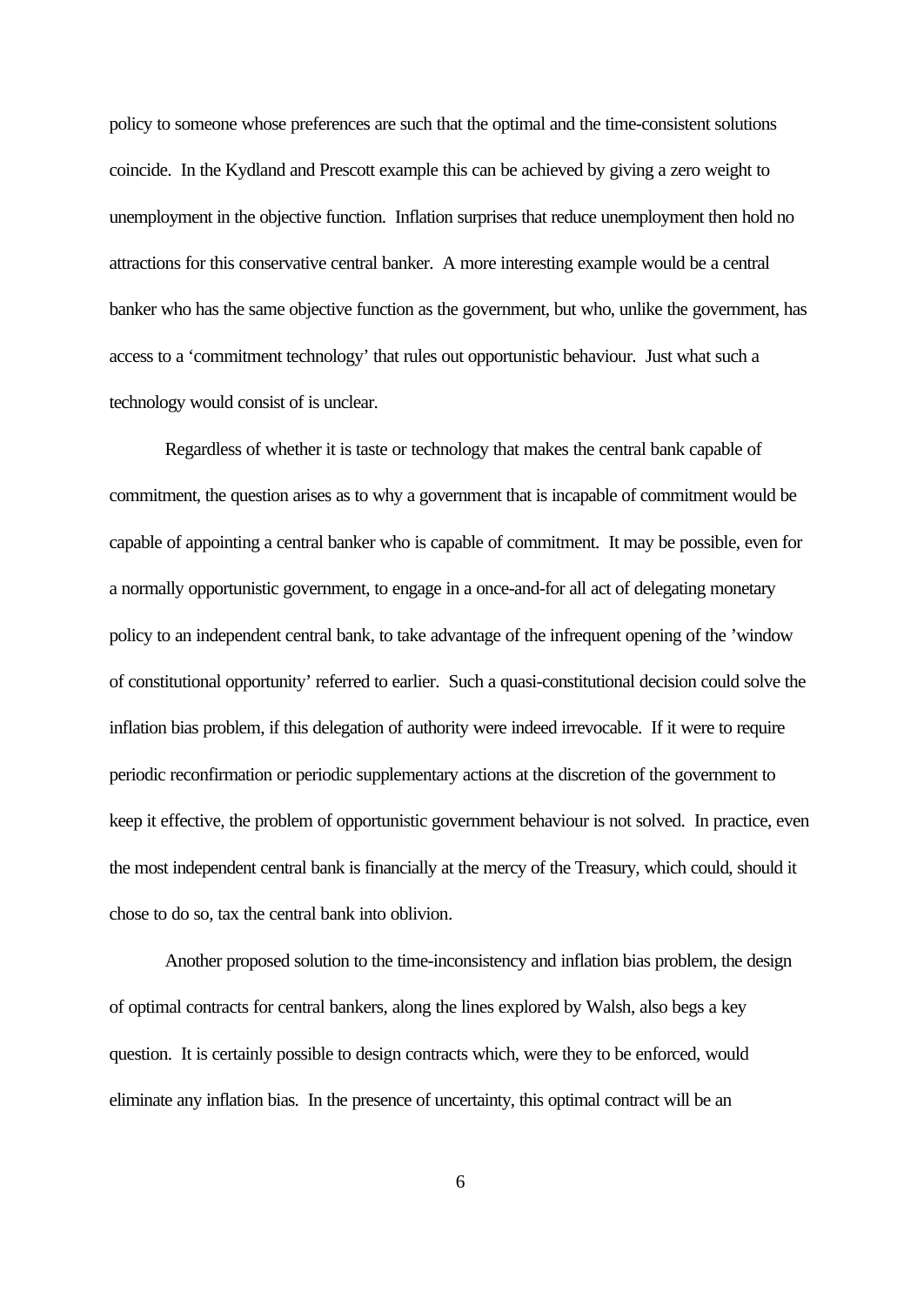policy to someone whose preferences are such that the optimal and the time-consistent solutions coincide. In the Kydland and Prescott example this can be achieved by giving a zero weight to unemployment in the objective function. Inflation surprises that reduce unemployment then hold no attractions for this conservative central banker. A more interesting example would be a central banker who has the same objective function as the government, but who, unlike the government, has access to a 'commitment technology' that rules out opportunistic behaviour. Just what such a technology would consist of is unclear.

Regardless of whether it is taste or technology that makes the central bank capable of commitment, the question arises as to why a government that is incapable of commitment would be capable of appointing a central banker who is capable of commitment. It may be possible, even for a normally opportunistic government, to engage in a once-and-for all act of delegating monetary policy to an independent central bank, to take advantage of the infrequent opening of the 'window of constitutional opportunity' referred to earlier. Such a quasi-constitutional decision could solve the inflation bias problem, if this delegation of authority were indeed irrevocable. If it were to require periodic reconfirmation or periodic supplementary actions at the discretion of the government to keep it effective, the problem of opportunistic government behaviour is not solved. In practice, even the most independent central bank is financially at the mercy of the Treasury, which could, should it chose to do so, tax the central bank into oblivion.

Another proposed solution to the time-inconsistency and inflation bias problem, the design of optimal contracts for central bankers, along the lines explored by Walsh, also begs a key question. It is certainly possible to design contracts which, were they to be enforced, would eliminate any inflation bias. In the presence of uncertainty, this optimal contract will be an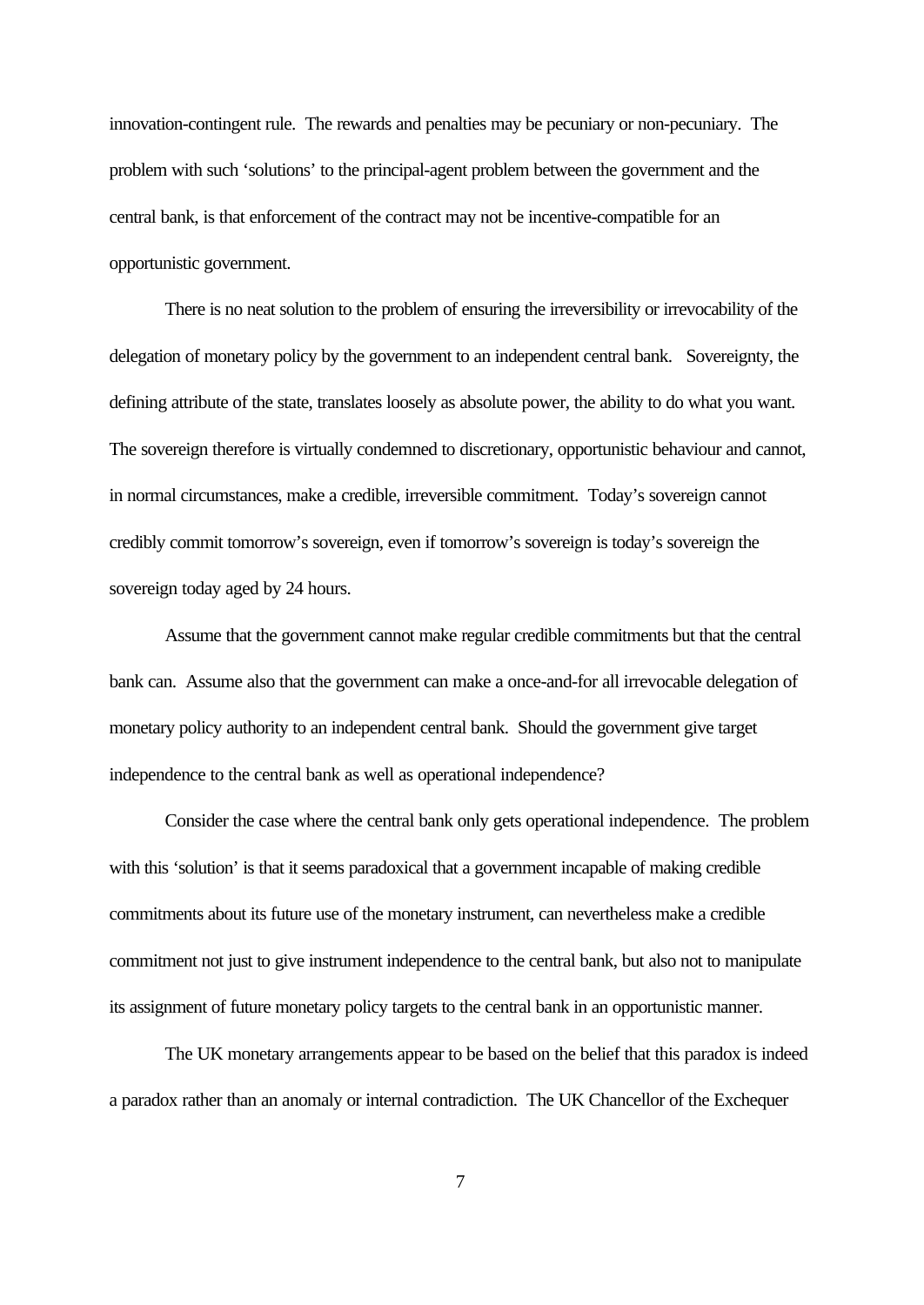innovation-contingent rule. The rewards and penalties may be pecuniary or non-pecuniary. The problem with such 'solutions' to the principal-agent problem between the government and the central bank, is that enforcement of the contract may not be incentive-compatible for an opportunistic government.

There is no neat solution to the problem of ensuring the irreversibility or irrevocability of the delegation of monetary policy by the government to an independent central bank. Sovereignty, the defining attribute of the state, translates loosely as absolute power, the ability to do what you want. The sovereign therefore is virtually condemned to discretionary, opportunistic behaviour and cannot, in normal circumstances, make a credible, irreversible commitment. Today's sovereign cannot credibly commit tomorrow's sovereign, even if tomorrow's sovereign is today's sovereign the sovereign today aged by 24 hours.

Assume that the government cannot make regular credible commitments but that the central bank can. Assume also that the government can make a once-and-for all irrevocable delegation of monetary policy authority to an independent central bank. Should the government give target independence to the central bank as well as operational independence?

Consider the case where the central bank only gets operational independence. The problem with this 'solution' is that it seems paradoxical that a government incapable of making credible commitments about its future use of the monetary instrument, can nevertheless make a credible commitment not just to give instrument independence to the central bank, but also not to manipulate its assignment of future monetary policy targets to the central bank in an opportunistic manner.

The UK monetary arrangements appear to be based on the belief that this paradox is indeed a paradox rather than an anomaly or internal contradiction. The UK Chancellor of the Exchequer

7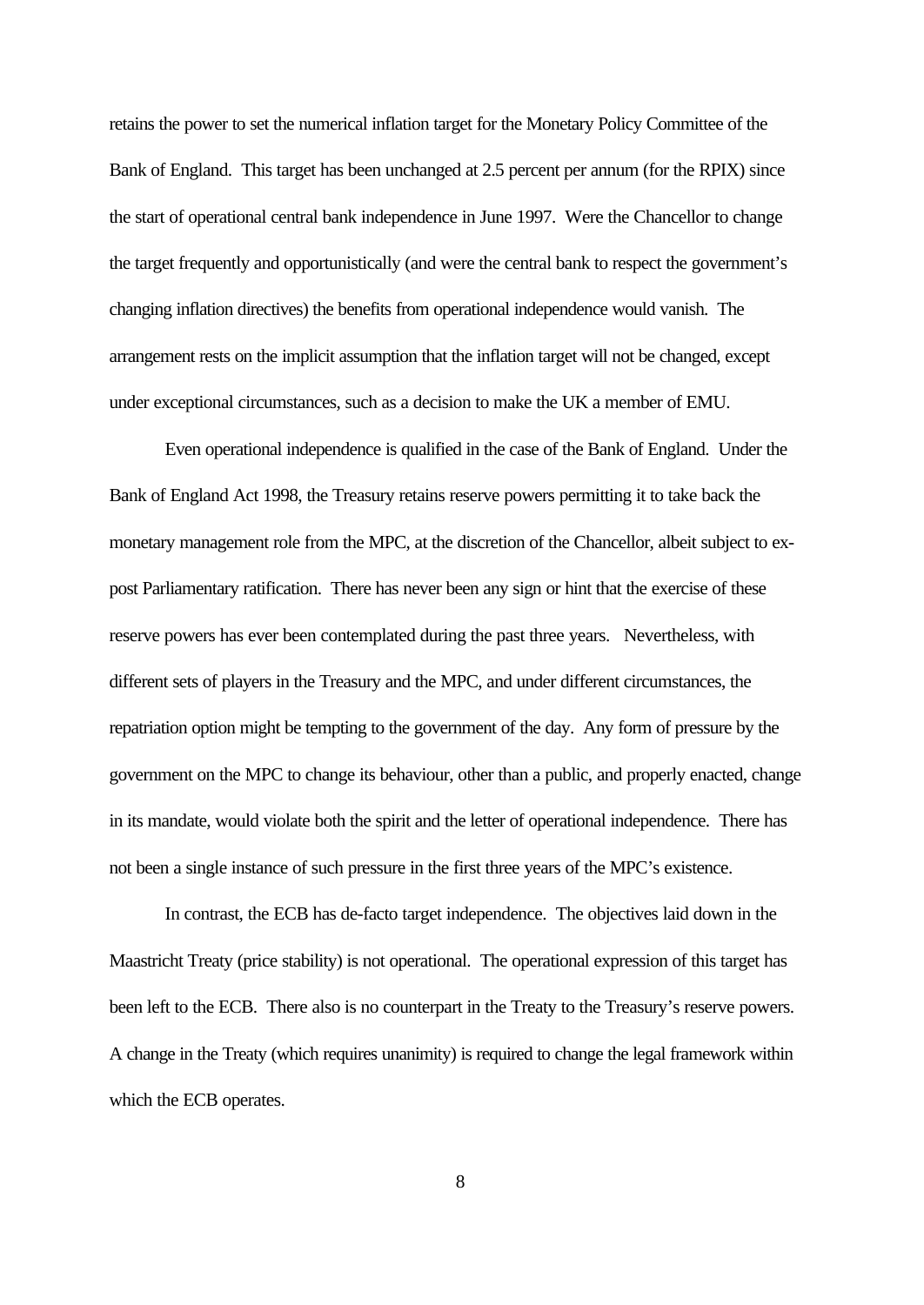retains the power to set the numerical inflation target for the Monetary Policy Committee of the Bank of England. This target has been unchanged at 2.5 percent per annum (for the RPIX) since the start of operational central bank independence in June 1997. Were the Chancellor to change the target frequently and opportunistically (and were the central bank to respect the government's changing inflation directives) the benefits from operational independence would vanish. The arrangement rests on the implicit assumption that the inflation target will not be changed, except under exceptional circumstances, such as a decision to make the UK a member of EMU.

Even operational independence is qualified in the case of the Bank of England. Under the Bank of England Act 1998, the Treasury retains reserve powers permitting it to take back the monetary management role from the MPC, at the discretion of the Chancellor, albeit subject to expost Parliamentary ratification. There has never been any sign or hint that the exercise of these reserve powers has ever been contemplated during the past three years. Nevertheless, with different sets of players in the Treasury and the MPC, and under different circumstances, the repatriation option might be tempting to the government of the day. Any form of pressure by the government on the MPC to change its behaviour, other than a public, and properly enacted, change in its mandate, would violate both the spirit and the letter of operational independence. There has not been a single instance of such pressure in the first three years of the MPC's existence.

In contrast, the ECB has de-facto target independence. The objectives laid down in the Maastricht Treaty (price stability) is not operational. The operational expression of this target has been left to the ECB. There also is no counterpart in the Treaty to the Treasury's reserve powers. A change in the Treaty (which requires unanimity) is required to change the legal framework within which the ECB operates.

8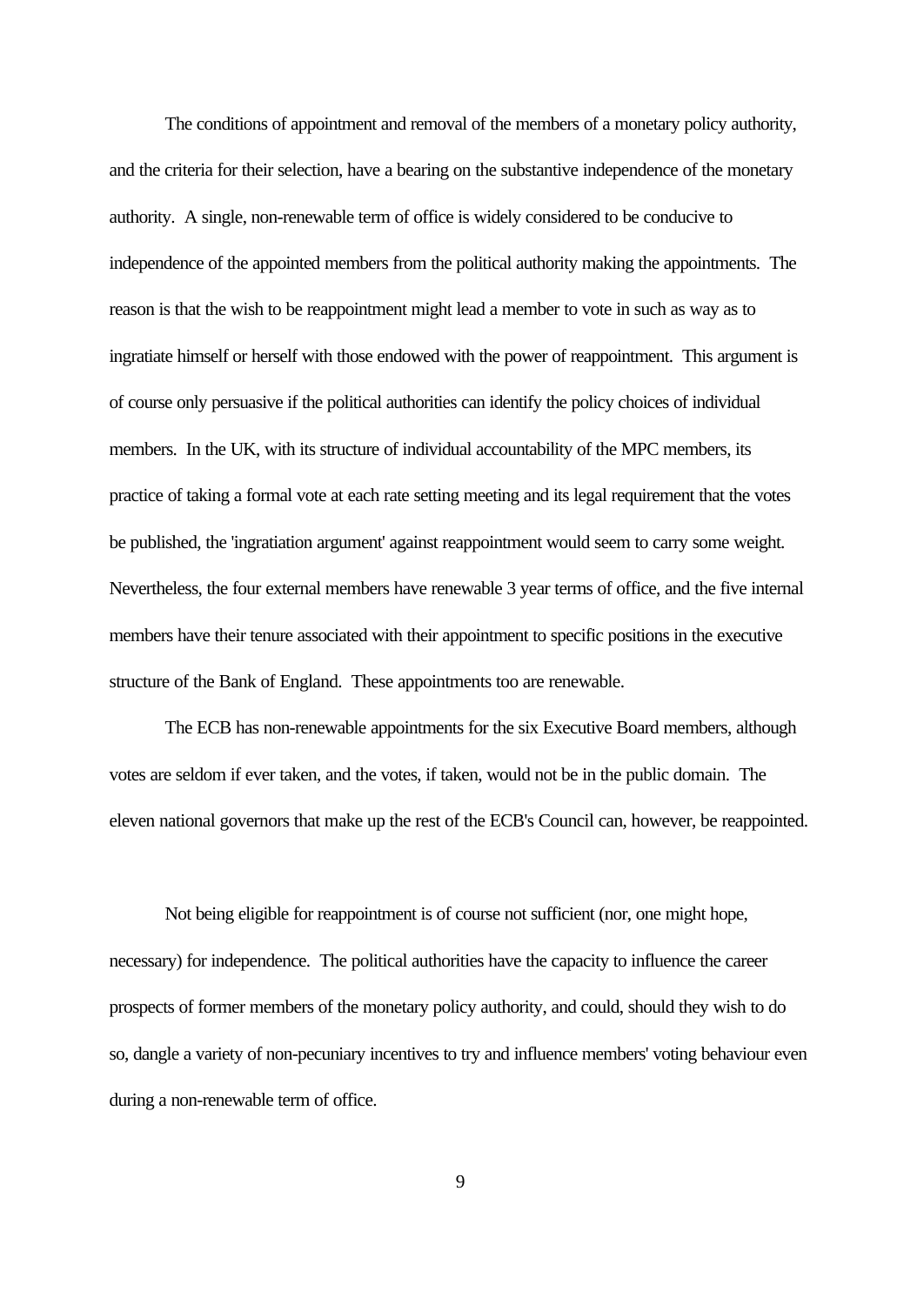The conditions of appointment and removal of the members of a monetary policy authority, and the criteria for their selection, have a bearing on the substantive independence of the monetary authority. A single, non-renewable term of office is widely considered to be conducive to independence of the appointed members from the political authority making the appointments. The reason is that the wish to be reappointment might lead a member to vote in such as way as to ingratiate himself or herself with those endowed with the power of reappointment. This argument is of course only persuasive if the political authorities can identify the policy choices of individual members. In the UK, with its structure of individual accountability of the MPC members, its practice of taking a formal vote at each rate setting meeting and its legal requirement that the votes be published, the 'ingratiation argument' against reappointment would seem to carry some weight. Nevertheless, the four external members have renewable 3 year terms of office, and the five internal members have their tenure associated with their appointment to specific positions in the executive structure of the Bank of England. These appointments too are renewable.

The ECB has non-renewable appointments for the six Executive Board members, although votes are seldom if ever taken, and the votes, if taken, would not be in the public domain. The eleven national governors that make up the rest of the ECB's Council can, however, be reappointed.

Not being eligible for reappointment is of course not sufficient (nor, one might hope, necessary) for independence. The political authorities have the capacity to influence the career prospects of former members of the monetary policy authority, and could, should they wish to do so, dangle a variety of non-pecuniary incentives to try and influence members' voting behaviour even during a non-renewable term of office.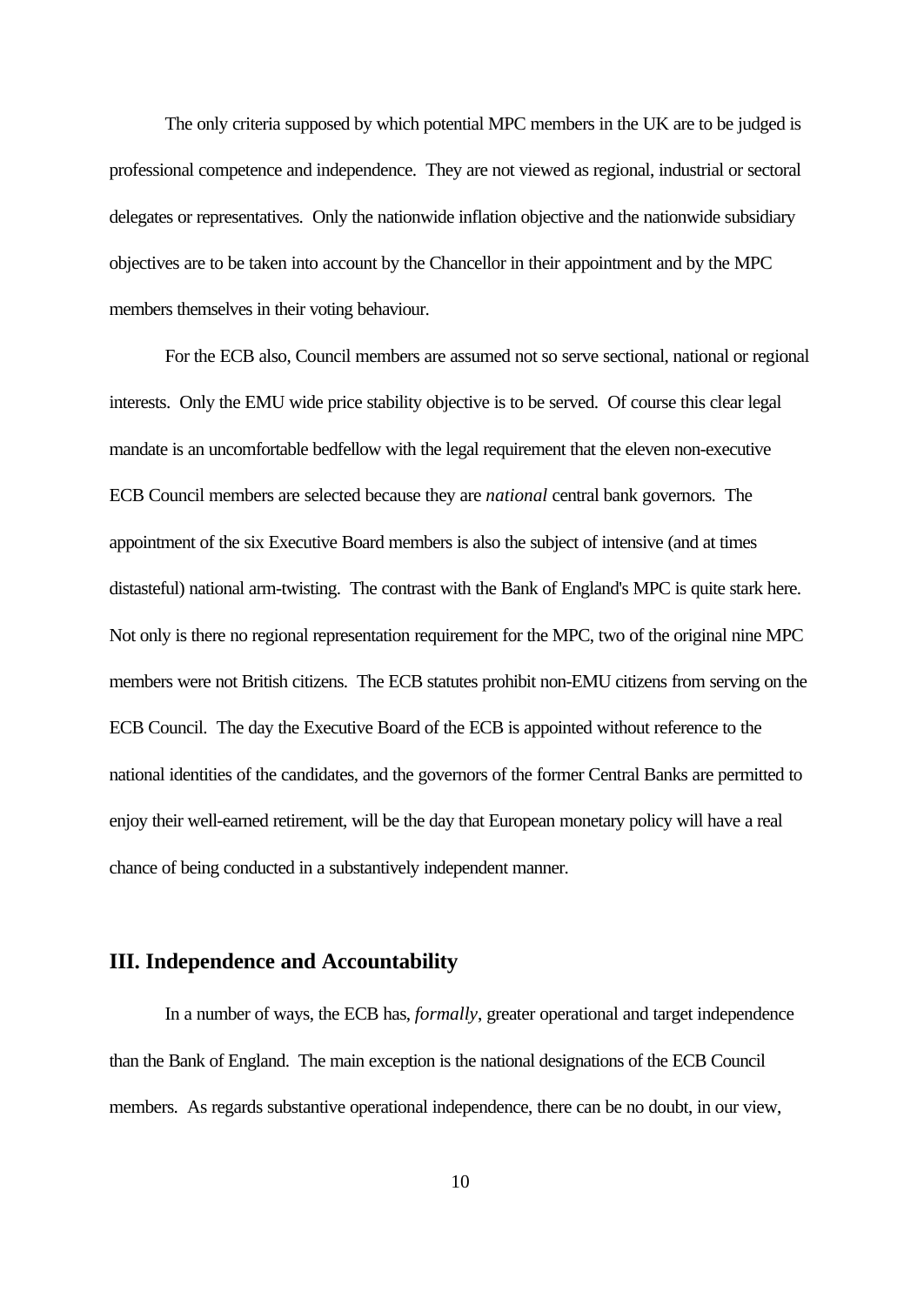The only criteria supposed by which potential MPC members in the UK are to be judged is professional competence and independence. They are not viewed as regional, industrial or sectoral delegates or representatives. Only the nationwide inflation objective and the nationwide subsidiary objectives are to be taken into account by the Chancellor in their appointment and by the MPC members themselves in their voting behaviour.

For the ECB also, Council members are assumed not so serve sectional, national or regional interests. Only the EMU wide price stability objective is to be served. Of course this clear legal mandate is an uncomfortable bedfellow with the legal requirement that the eleven non-executive ECB Council members are selected because they are *national* central bank governors. The appointment of the six Executive Board members is also the subject of intensive (and at times distasteful) national arm-twisting. The contrast with the Bank of England's MPC is quite stark here. Not only is there no regional representation requirement for the MPC, two of the original nine MPC members were not British citizens. The ECB statutes prohibit non-EMU citizens from serving on the ECB Council. The day the Executive Board of the ECB is appointed without reference to the national identities of the candidates, and the governors of the former Central Banks are permitted to enjoy their well-earned retirement, will be the day that European monetary policy will have a real chance of being conducted in a substantively independent manner.

#### **III. Independence and Accountability**

In a number of ways, the ECB has, *formally*, greater operational and target independence than the Bank of England. The main exception is the national designations of the ECB Council members. As regards substantive operational independence, there can be no doubt, in our view,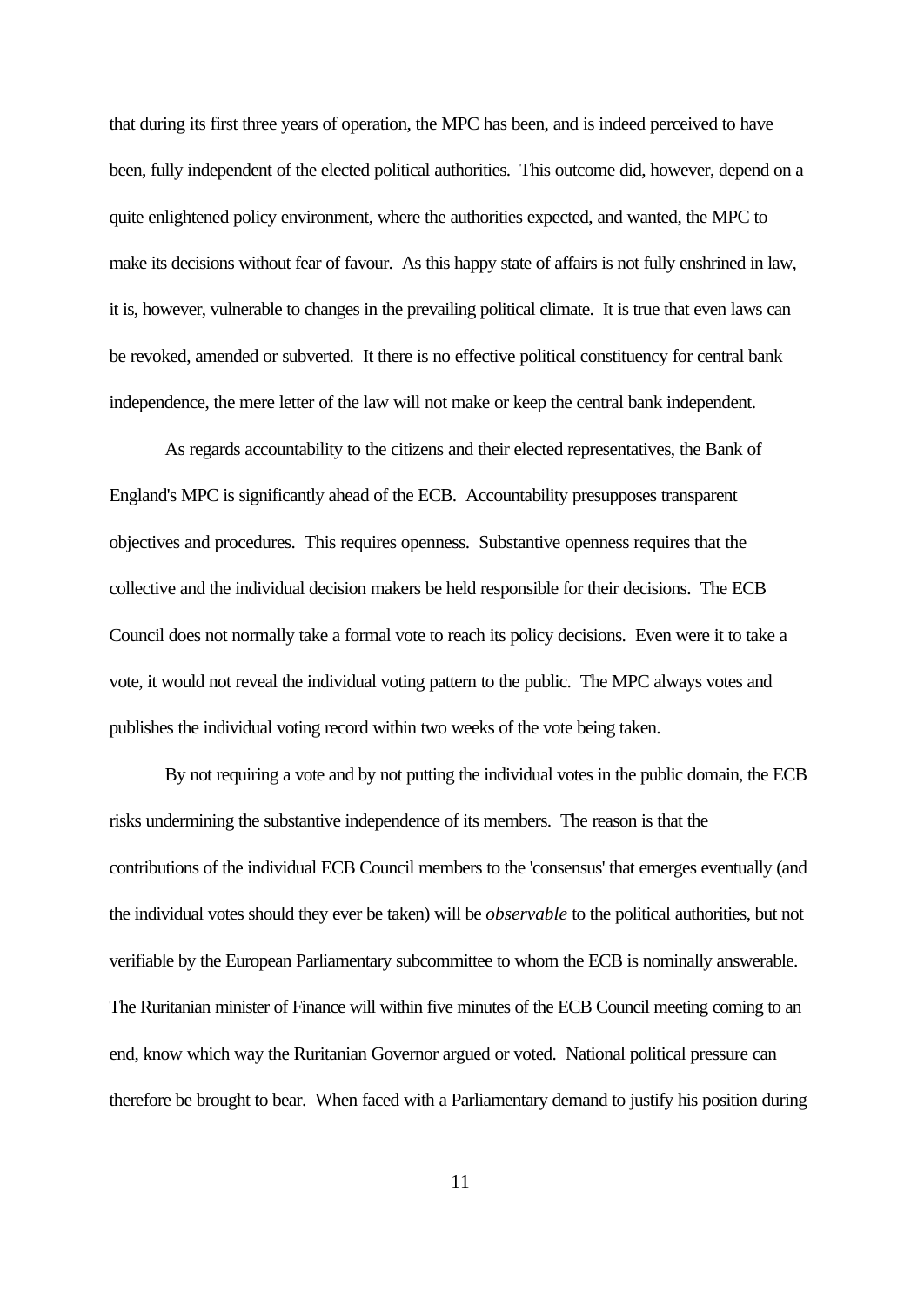that during its first three years of operation, the MPC has been, and is indeed perceived to have been, fully independent of the elected political authorities. This outcome did, however, depend on a quite enlightened policy environment, where the authorities expected, and wanted, the MPC to make its decisions without fear of favour. As this happy state of affairs is not fully enshrined in law, it is, however, vulnerable to changes in the prevailing political climate. It is true that even laws can be revoked, amended or subverted. It there is no effective political constituency for central bank independence, the mere letter of the law will not make or keep the central bank independent.

As regards accountability to the citizens and their elected representatives, the Bank of England's MPC is significantly ahead of the ECB. Accountability presupposes transparent objectives and procedures. This requires openness. Substantive openness requires that the collective and the individual decision makers be held responsible for their decisions. The ECB Council does not normally take a formal vote to reach its policy decisions. Even were it to take a vote, it would not reveal the individual voting pattern to the public. The MPC always votes and publishes the individual voting record within two weeks of the vote being taken.

By not requiring a vote and by not putting the individual votes in the public domain, the ECB risks undermining the substantive independence of its members. The reason is that the contributions of the individual ECB Council members to the 'consensus' that emerges eventually (and the individual votes should they ever be taken) will be *observable* to the political authorities, but not verifiable by the European Parliamentary subcommittee to whom the ECB is nominally answerable. The Ruritanian minister of Finance will within five minutes of the ECB Council meeting coming to an end, know which way the Ruritanian Governor argued or voted. National political pressure can therefore be brought to bear. When faced with a Parliamentary demand to justify his position during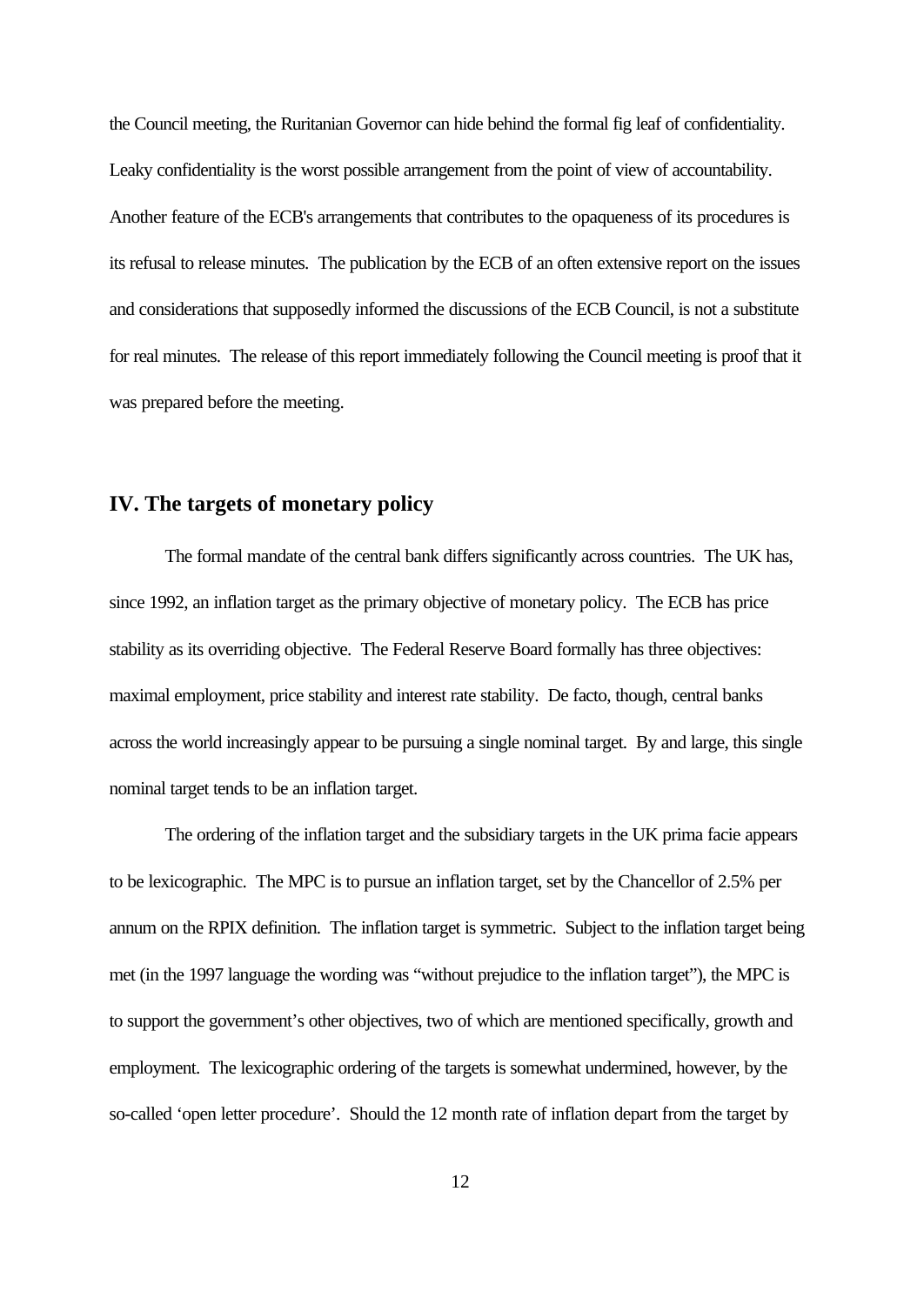the Council meeting, the Ruritanian Governor can hide behind the formal fig leaf of confidentiality. Leaky confidentiality is the worst possible arrangement from the point of view of accountability. Another feature of the ECB's arrangements that contributes to the opaqueness of its procedures is its refusal to release minutes. The publication by the ECB of an often extensive report on the issues and considerations that supposedly informed the discussions of the ECB Council, is not a substitute for real minutes. The release of this report immediately following the Council meeting is proof that it was prepared before the meeting.

## **IV. The targets of monetary policy**

The formal mandate of the central bank differs significantly across countries. The UK has, since 1992, an inflation target as the primary objective of monetary policy. The ECB has price stability as its overriding objective. The Federal Reserve Board formally has three objectives: maximal employment, price stability and interest rate stability. De facto, though, central banks across the world increasingly appear to be pursuing a single nominal target. By and large, this single nominal target tends to be an inflation target.

The ordering of the inflation target and the subsidiary targets in the UK prima facie appears to be lexicographic. The MPC is to pursue an inflation target, set by the Chancellor of 2.5% per annum on the RPIX definition. The inflation target is symmetric. Subject to the inflation target being met (in the 1997 language the wording was "without prejudice to the inflation target"), the MPC is to support the government's other objectives, two of which are mentioned specifically, growth and employment. The lexicographic ordering of the targets is somewhat undermined, however, by the so-called 'open letter procedure'. Should the 12 month rate of inflation depart from the target by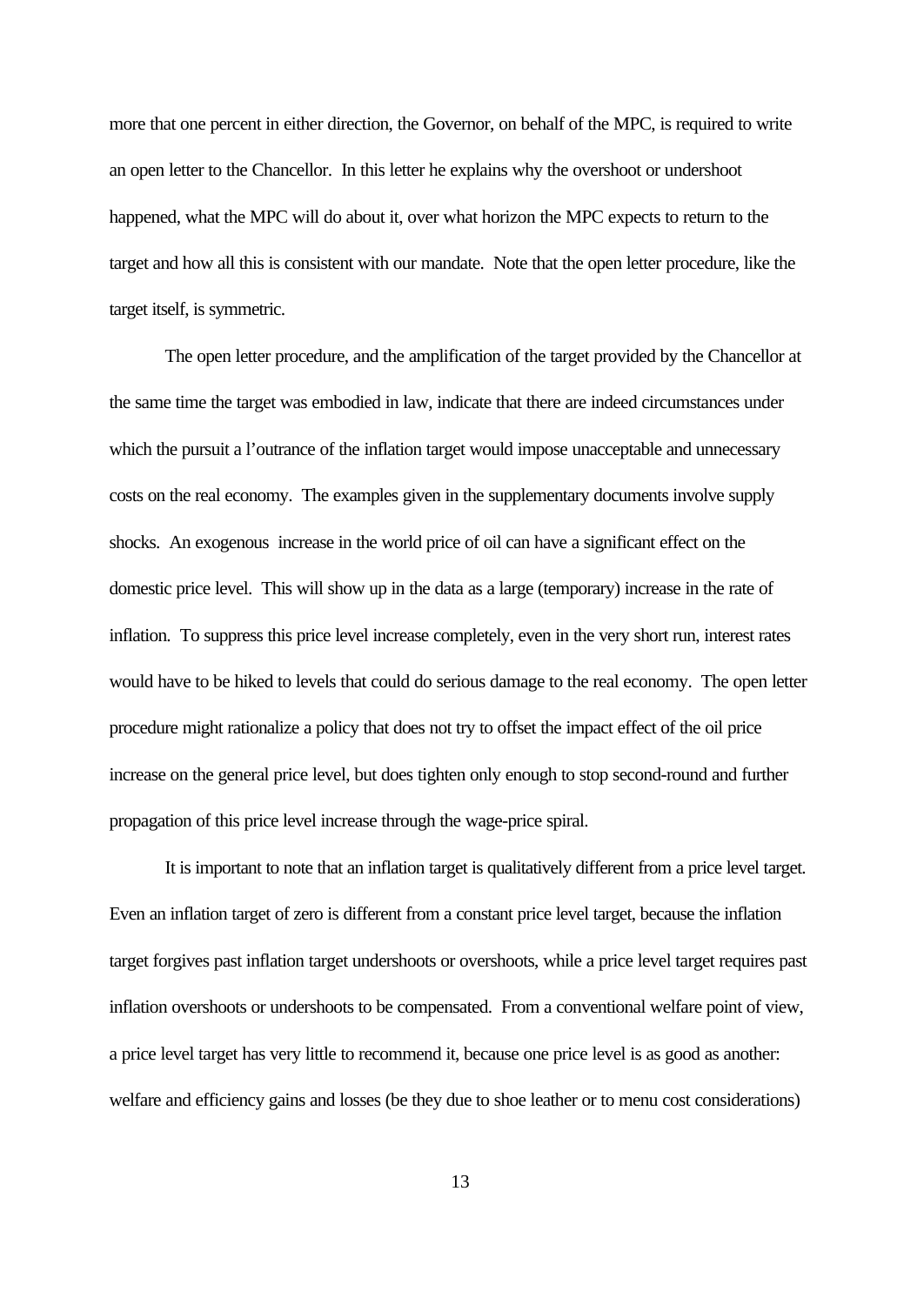more that one percent in either direction, the Governor, on behalf of the MPC, is required to write an open letter to the Chancellor. In this letter he explains why the overshoot or undershoot happened, what the MPC will do about it, over what horizon the MPC expects to return to the target and how all this is consistent with our mandate. Note that the open letter procedure, like the target itself, is symmetric.

The open letter procedure, and the amplification of the target provided by the Chancellor at the same time the target was embodied in law, indicate that there are indeed circumstances under which the pursuit a l'outrance of the inflation target would impose unacceptable and unnecessary costs on the real economy. The examples given in the supplementary documents involve supply shocks. An exogenous increase in the world price of oil can have a significant effect on the domestic price level. This will show up in the data as a large (temporary) increase in the rate of inflation. To suppress this price level increase completely, even in the very short run, interest rates would have to be hiked to levels that could do serious damage to the real economy. The open letter procedure might rationalize a policy that does not try to offset the impact effect of the oil price increase on the general price level, but does tighten only enough to stop second-round and further propagation of this price level increase through the wage-price spiral.

It is important to note that an inflation target is qualitatively different from a price level target. Even an inflation target of zero is different from a constant price level target, because the inflation target forgives past inflation target undershoots or overshoots, while a price level target requires past inflation overshoots or undershoots to be compensated. From a conventional welfare point of view, a price level target has very little to recommend it, because one price level is as good as another: welfare and efficiency gains and losses (be they due to shoe leather or to menu cost considerations)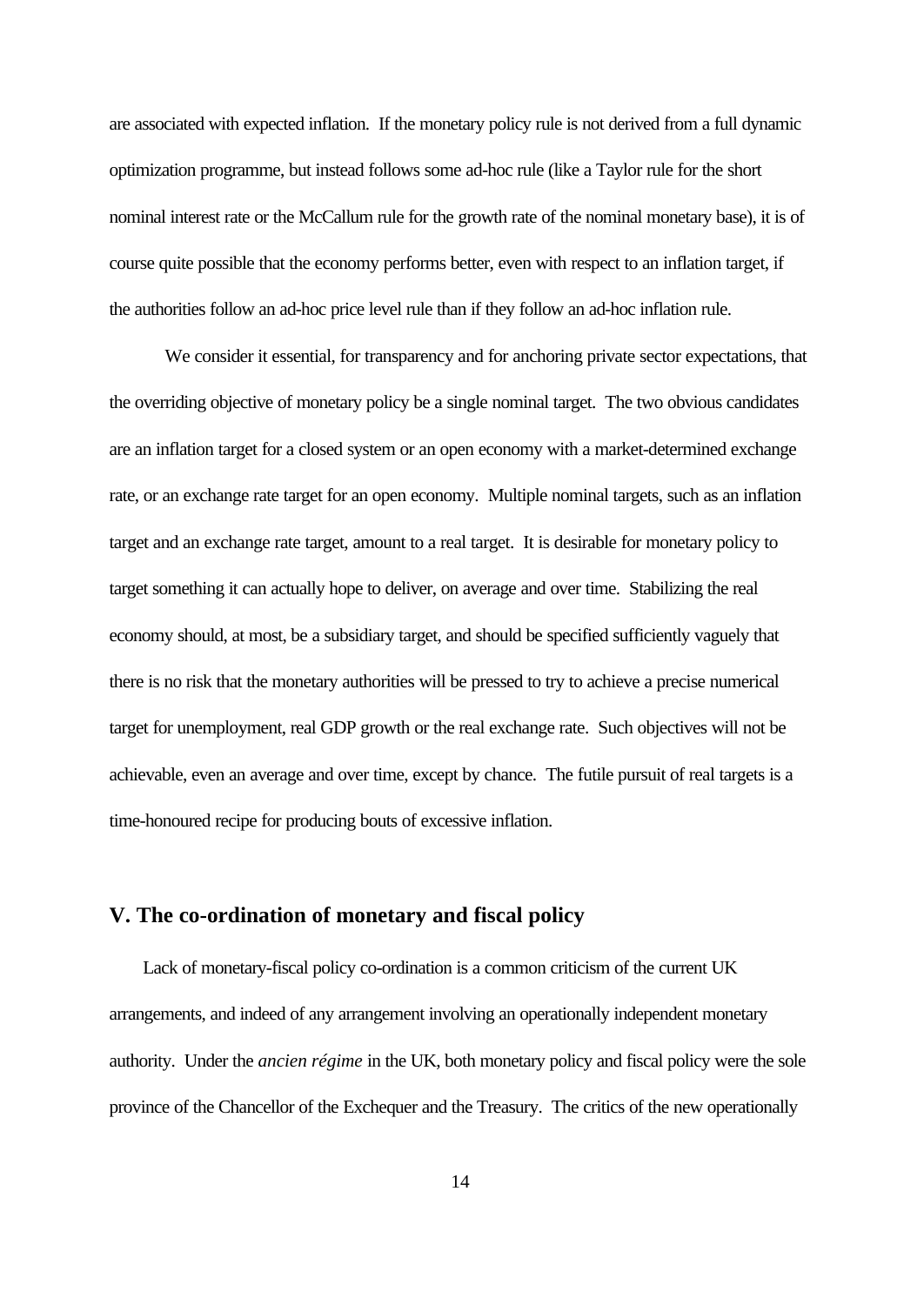are associated with expected inflation. If the monetary policy rule is not derived from a full dynamic optimization programme, but instead follows some ad-hoc rule (like a Taylor rule for the short nominal interest rate or the McCallum rule for the growth rate of the nominal monetary base), it is of course quite possible that the economy performs better, even with respect to an inflation target, if the authorities follow an ad-hoc price level rule than if they follow an ad-hoc inflation rule.

We consider it essential, for transparency and for anchoring private sector expectations, that the overriding objective of monetary policy be a single nominal target. The two obvious candidates are an inflation target for a closed system or an open economy with a market-determined exchange rate, or an exchange rate target for an open economy. Multiple nominal targets, such as an inflation target and an exchange rate target, amount to a real target. It is desirable for monetary policy to target something it can actually hope to deliver, on average and over time. Stabilizing the real economy should, at most, be a subsidiary target, and should be specified sufficiently vaguely that there is no risk that the monetary authorities will be pressed to try to achieve a precise numerical target for unemployment, real GDP growth or the real exchange rate. Such objectives will not be achievable, even an average and over time, except by chance. The futile pursuit of real targets is a time-honoured recipe for producing bouts of excessive inflation.

#### **V. The co-ordination of monetary and fiscal policy**

Lack of monetary-fiscal policy co-ordination is a common criticism of the current UK arrangements, and indeed of any arrangement involving an operationally independent monetary authority. Under the *ancien régime* in the UK, both monetary policy and fiscal policy were the sole province of the Chancellor of the Exchequer and the Treasury. The critics of the new operationally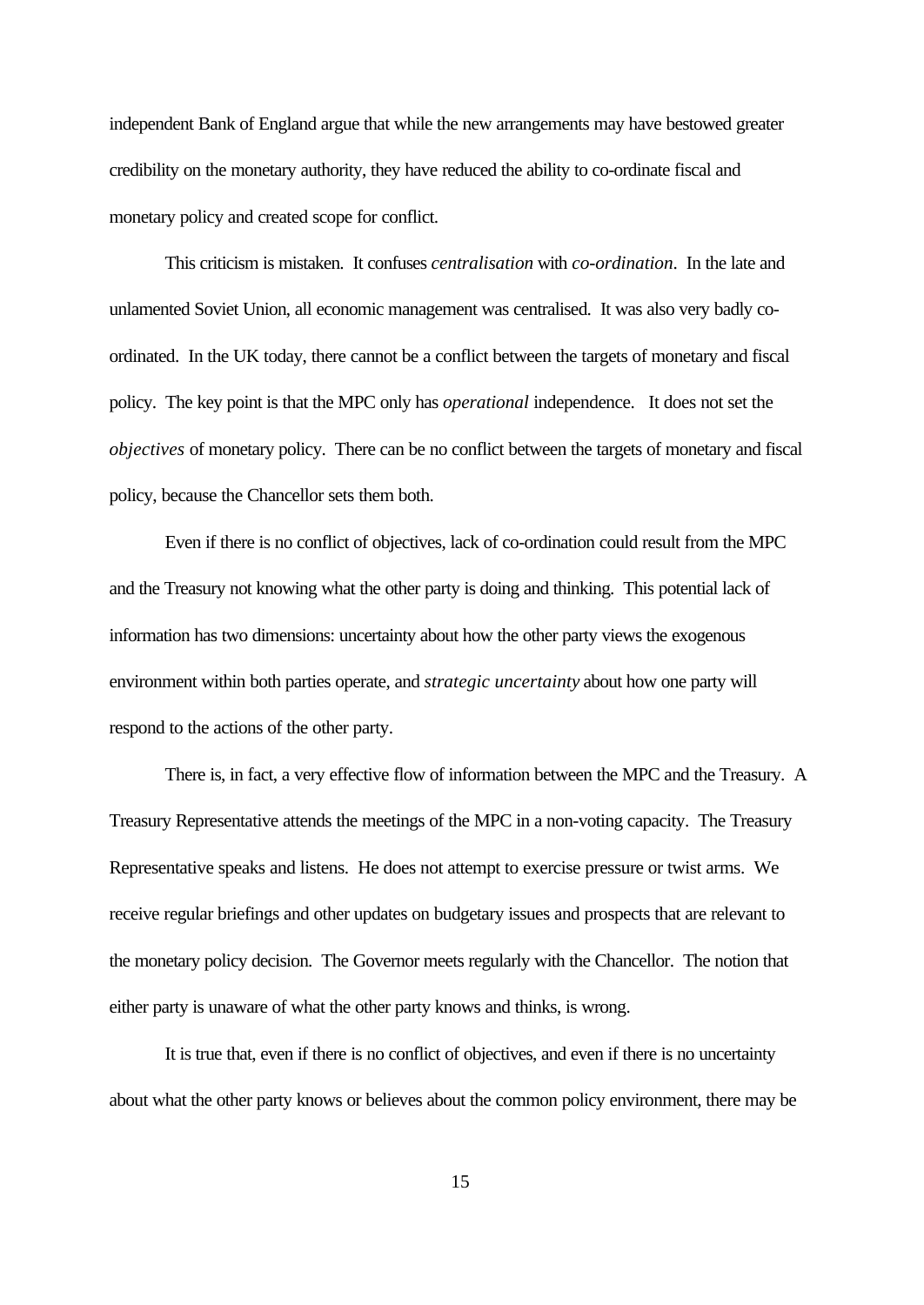independent Bank of England argue that while the new arrangements may have bestowed greater credibility on the monetary authority, they have reduced the ability to co-ordinate fiscal and monetary policy and created scope for conflict.

This criticism is mistaken. It confuses *centralisation* with *co-ordination*. In the late and unlamented Soviet Union, all economic management was centralised. It was also very badly coordinated. In the UK today, there cannot be a conflict between the targets of monetary and fiscal policy. The key point is that the MPC only has *operational* independence. It does not set the *objectives* of monetary policy. There can be no conflict between the targets of monetary and fiscal policy, because the Chancellor sets them both.

Even if there is no conflict of objectives, lack of co-ordination could result from the MPC and the Treasury not knowing what the other party is doing and thinking. This potential lack of information has two dimensions: uncertainty about how the other party views the exogenous environment within both parties operate, and *strategic uncertainty* about how one party will respond to the actions of the other party.

There is, in fact, a very effective flow of information between the MPC and the Treasury. A Treasury Representative attends the meetings of the MPC in a non-voting capacity. The Treasury Representative speaks and listens. He does not attempt to exercise pressure or twist arms. We receive regular briefings and other updates on budgetary issues and prospects that are relevant to the monetary policy decision. The Governor meets regularly with the Chancellor. The notion that either party is unaware of what the other party knows and thinks, is wrong.

It is true that, even if there is no conflict of objectives, and even if there is no uncertainty about what the other party knows or believes about the common policy environment, there may be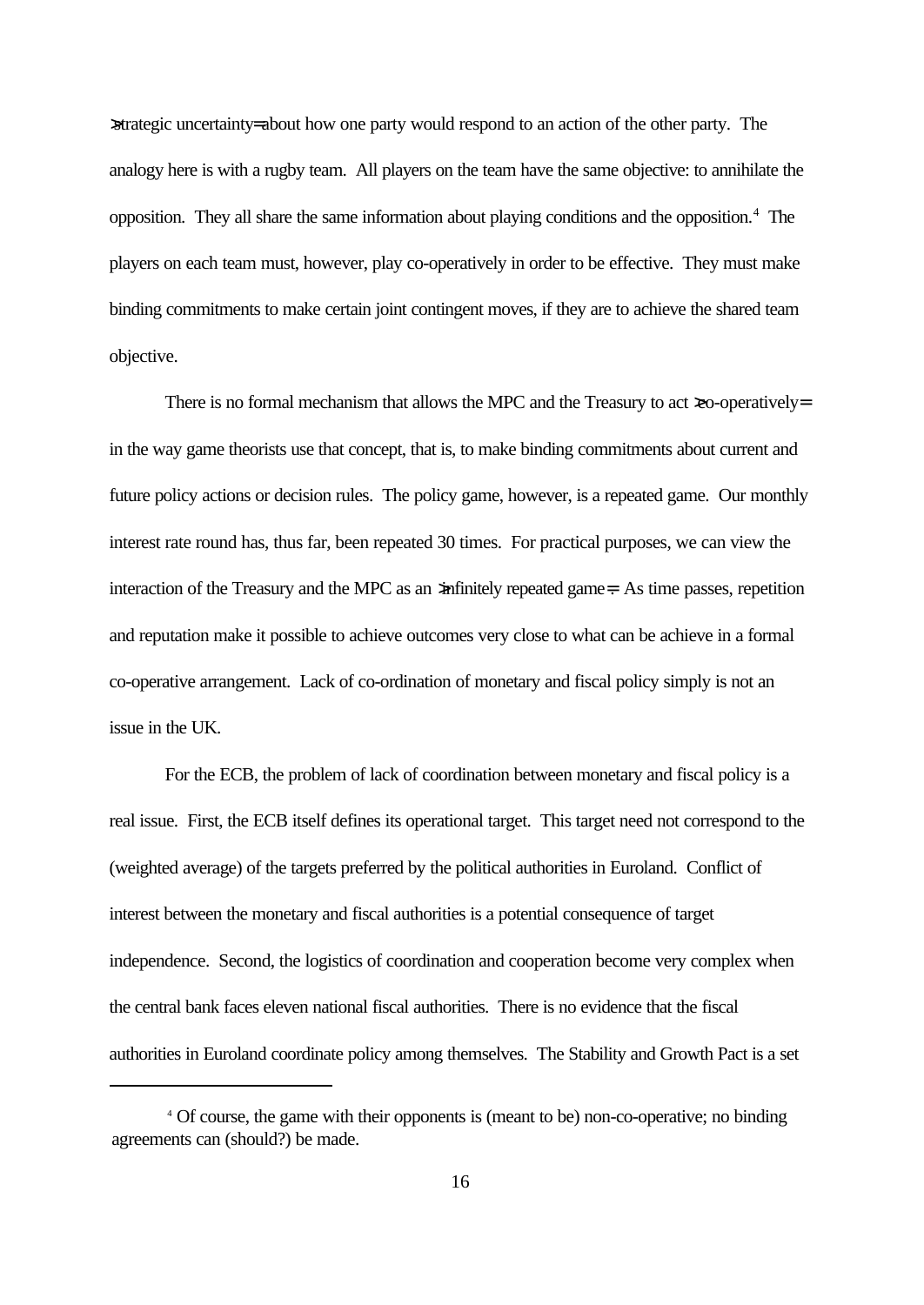>strategic uncertainty= about how one party would respond to an action of the other party. The analogy here is with a rugby team. All players on the team have the same objective: to annihilate the opposition. They all share the same information about playing conditions and the opposition.<sup>4</sup> The players on each team must, however, play co-operatively in order to be effective. They must make binding commitments to make certain joint contingent moves, if they are to achieve the shared team objective.

There is no formal mechanism that allows the MPC and the Treasury to act  $\infty$ -operativelyin the way game theorists use that concept, that is, to make binding commitments about current and future policy actions or decision rules. The policy game, however, is a repeated game. Our monthly interest rate round has, thus far, been repeated 30 times. For practical purposes, we can view the interaction of the Treasury and the MPC as an  $\sin$ infinitely repeated game=. As time passes, repetition and reputation make it possible to achieve outcomes very close to what can be achieve in a formal co-operative arrangement. Lack of co-ordination of monetary and fiscal policy simply is not an issue in the UK.

For the ECB, the problem of lack of coordination between monetary and fiscal policy is a real issue. First, the ECB itself defines its operational target. This target need not correspond to the (weighted average) of the targets preferred by the political authorities in Euroland. Conflict of interest between the monetary and fiscal authorities is a potential consequence of target independence. Second, the logistics of coordination and cooperation become very complex when the central bank faces eleven national fiscal authorities. There is no evidence that the fiscal authorities in Euroland coordinate policy among themselves. The Stability and Growth Pact is a set

<sup>4</sup> Of course, the game with their opponents is (meant to be) non-co-operative; no binding agreements can (should?) be made.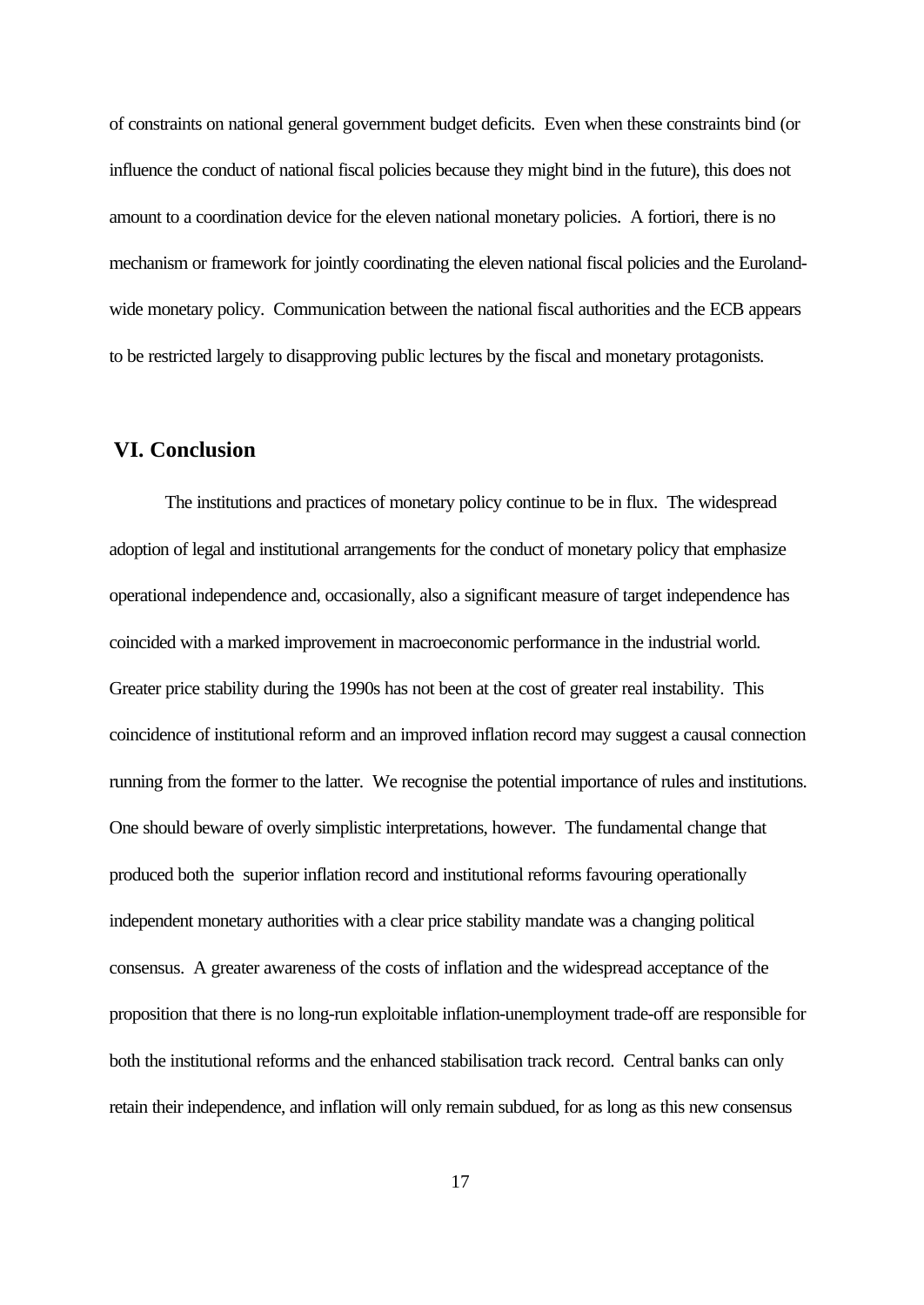of constraints on national general government budget deficits. Even when these constraints bind (or influence the conduct of national fiscal policies because they might bind in the future), this does not amount to a coordination device for the eleven national monetary policies. A fortiori, there is no mechanism or framework for jointly coordinating the eleven national fiscal policies and the Eurolandwide monetary policy. Communication between the national fiscal authorities and the ECB appears to be restricted largely to disapproving public lectures by the fiscal and monetary protagonists.

### **VI. Conclusion**

The institutions and practices of monetary policy continue to be in flux. The widespread adoption of legal and institutional arrangements for the conduct of monetary policy that emphasize operational independence and, occasionally, also a significant measure of target independence has coincided with a marked improvement in macroeconomic performance in the industrial world. Greater price stability during the 1990s has not been at the cost of greater real instability. This coincidence of institutional reform and an improved inflation record may suggest a causal connection running from the former to the latter. We recognise the potential importance of rules and institutions. One should beware of overly simplistic interpretations, however. The fundamental change that produced both the superior inflation record and institutional reforms favouring operationally independent monetary authorities with a clear price stability mandate was a changing political consensus. A greater awareness of the costs of inflation and the widespread acceptance of the proposition that there is no long-run exploitable inflation-unemployment trade-off are responsible for both the institutional reforms and the enhanced stabilisation track record. Central banks can only retain their independence, and inflation will only remain subdued, for as long as this new consensus